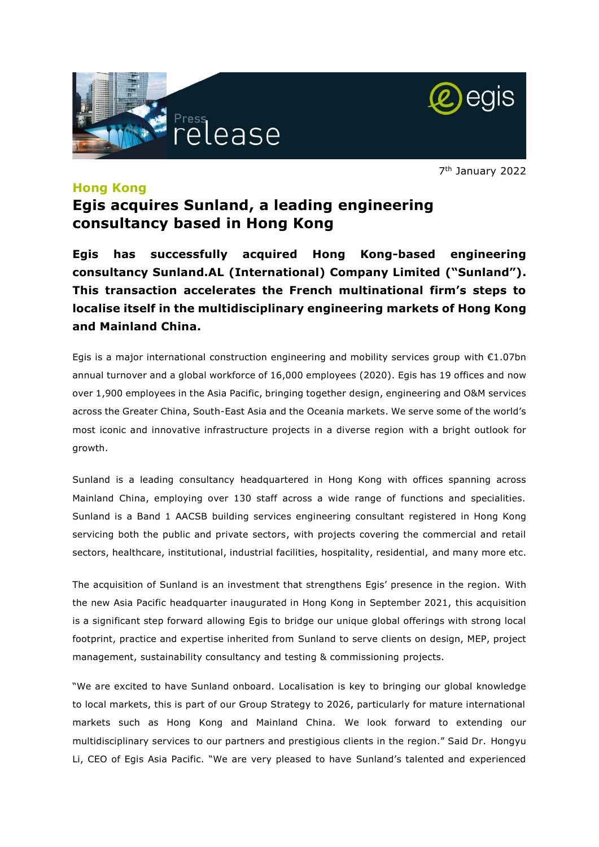



7 th January 2022

## **Hong Kong**

# **Egis acquires Sunland, a leading engineering consultancy based in Hong Kong**

**Egis has successfully acquired Hong Kong-based engineering consultancy Sunland.AL (International) Company Limited ("Sunland"). This transaction accelerates the French multinational firm's steps to localise itself in the multidisciplinary engineering markets of Hong Kong and Mainland China.** 

Egis is a major international construction engineering and mobility services group with €1.07bn annual turnover and a global workforce of 16,000 employees (2020). Egis has 19 offices and now over 1,900 employees in the Asia Pacific, bringing together design, engineering and O&M services across the Greater China, South-East Asia and the Oceania markets. We serve some of the world's most iconic and innovative infrastructure projects in a diverse region with a bright outlook for growth.

Sunland is a leading consultancy headquartered in Hong Kong with offices spanning across Mainland China, employing over 130 staff across a wide range of functions and specialities. Sunland is a Band 1 AACSB building services engineering consultant registered in Hong Kong servicing both the public and private sectors, with projects covering the commercial and retail sectors, healthcare, institutional, industrial facilities, hospitality, residential, and many more etc.

The acquisition of Sunland is an investment that strengthens Egis' presence in the region. With the new Asia Pacific headquarter inaugurated in Hong Kong in September 2021, this acquisition is a significant step forward allowing Egis to bridge our unique global offerings with strong local footprint, practice and expertise inherited from Sunland to serve clients on design, MEP, project management, sustainability consultancy and testing & commissioning projects.

"We are excited to have Sunland onboard. Localisation is key to bringing our global knowledge to local markets, this is part of our Group Strategy to 2026, particularly for mature international markets such as Hong Kong and Mainland China. We look forward to extending our multidisciplinary services to our partners and prestigious clients in the region." Said Dr. Hongyu Li, CEO of Egis Asia Pacific. "We are very pleased to have Sunland's talented and experienced